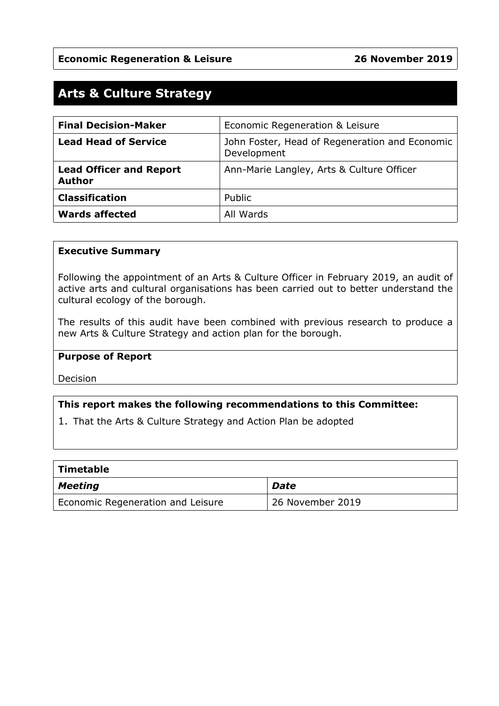# **Arts & Culture Strategy**

| <b>Final Decision-Maker</b>                     | Economic Regeneration & Leisure                               |
|-------------------------------------------------|---------------------------------------------------------------|
| <b>Lead Head of Service</b>                     | John Foster, Head of Regeneration and Economic<br>Development |
| <b>Lead Officer and Report</b><br><b>Author</b> | Ann-Marie Langley, Arts & Culture Officer                     |
| <b>Classification</b>                           | Public                                                        |
| <b>Wards affected</b>                           | All Wards                                                     |

#### **Executive Summary**

Following the appointment of an Arts & Culture Officer in February 2019, an audit of active arts and cultural organisations has been carried out to better understand the cultural ecology of the borough.

The results of this audit have been combined with previous research to produce a new Arts & Culture Strategy and action plan for the borough.

#### **Purpose of Report**

Decision

#### **This report makes the following recommendations to this Committee:**

1. That the Arts & Culture Strategy and Action Plan be adopted

| <b>Timetable</b>                  |                  |  |  |  |
|-----------------------------------|------------------|--|--|--|
| Meeting                           | Date             |  |  |  |
| Economic Regeneration and Leisure | 26 November 2019 |  |  |  |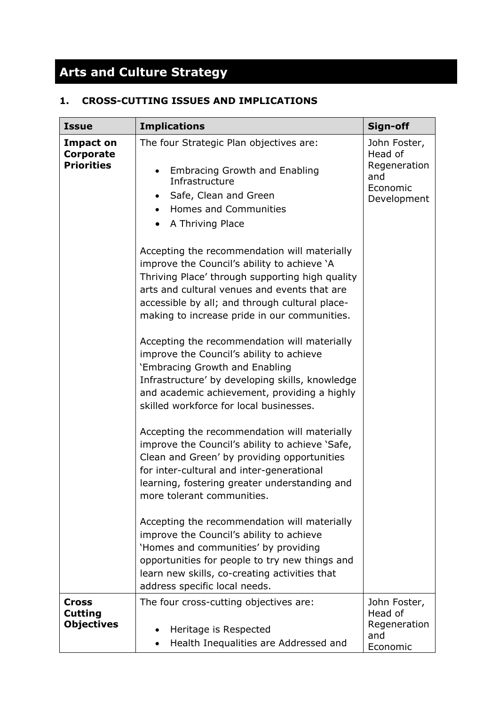# **Arts and Culture Strategy**

# **1. CROSS-CUTTING ISSUES AND IMPLICATIONS**

| <b>Issue</b>                                        | <b>Implications</b>                                                                                                                                                                                                                                                                              | Sign-off                                                                  |
|-----------------------------------------------------|--------------------------------------------------------------------------------------------------------------------------------------------------------------------------------------------------------------------------------------------------------------------------------------------------|---------------------------------------------------------------------------|
| <b>Impact on</b><br>Corporate<br><b>Priorities</b>  | The four Strategic Plan objectives are:<br><b>Embracing Growth and Enabling</b><br>$\bullet$<br>Infrastructure<br>Safe, Clean and Green<br>$\bullet$<br>Homes and Communities<br>$\bullet$<br>A Thriving Place                                                                                   | John Foster,<br>Head of<br>Regeneration<br>and<br>Economic<br>Development |
|                                                     | Accepting the recommendation will materially<br>improve the Council's ability to achieve 'A<br>Thriving Place' through supporting high quality<br>arts and cultural venues and events that are<br>accessible by all; and through cultural place-<br>making to increase pride in our communities. |                                                                           |
|                                                     | Accepting the recommendation will materially<br>improve the Council's ability to achieve<br>'Embracing Growth and Enabling<br>Infrastructure' by developing skills, knowledge<br>and academic achievement, providing a highly<br>skilled workforce for local businesses.                         |                                                                           |
|                                                     | Accepting the recommendation will materially<br>improve the Council's ability to achieve 'Safe,<br>Clean and Green' by providing opportunities<br>for inter-cultural and inter-generational<br>learning, fostering greater understanding and<br>more tolerant communities.                       |                                                                           |
|                                                     | Accepting the recommendation will materially<br>improve the Council's ability to achieve<br>'Homes and communities' by providing<br>opportunities for people to try new things and<br>learn new skills, co-creating activities that<br>address specific local needs.                             |                                                                           |
| <b>Cross</b><br><b>Cutting</b><br><b>Objectives</b> | The four cross-cutting objectives are:<br>Heritage is Respected<br>Health Inequalities are Addressed and                                                                                                                                                                                         | John Foster,<br>Head of<br>Regeneration<br>and<br>Economic                |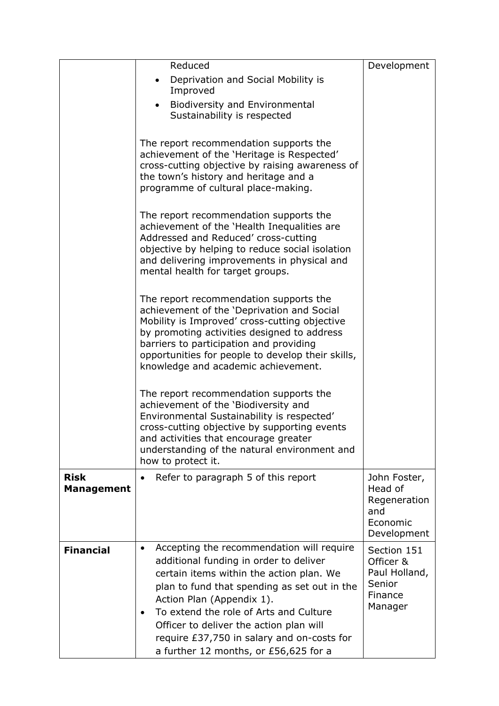|                                  | Reduced                                                                                                                                                                                                                                                             | Development                                                               |
|----------------------------------|---------------------------------------------------------------------------------------------------------------------------------------------------------------------------------------------------------------------------------------------------------------------|---------------------------------------------------------------------------|
|                                  | Deprivation and Social Mobility is                                                                                                                                                                                                                                  |                                                                           |
|                                  | Improved                                                                                                                                                                                                                                                            |                                                                           |
|                                  | <b>Biodiversity and Environmental</b><br>$\bullet$<br>Sustainability is respected                                                                                                                                                                                   |                                                                           |
|                                  |                                                                                                                                                                                                                                                                     |                                                                           |
|                                  | The report recommendation supports the<br>achievement of the 'Heritage is Respected'                                                                                                                                                                                |                                                                           |
|                                  | cross-cutting objective by raising awareness of                                                                                                                                                                                                                     |                                                                           |
|                                  | the town's history and heritage and a<br>programme of cultural place-making.                                                                                                                                                                                        |                                                                           |
|                                  |                                                                                                                                                                                                                                                                     |                                                                           |
|                                  | The report recommendation supports the<br>achievement of the 'Health Inequalities are<br>Addressed and Reduced' cross-cutting<br>objective by helping to reduce social isolation<br>and delivering improvements in physical and<br>mental health for target groups. |                                                                           |
|                                  |                                                                                                                                                                                                                                                                     |                                                                           |
|                                  | The report recommendation supports the<br>achievement of the 'Deprivation and Social<br>Mobility is Improved' cross-cutting objective                                                                                                                               |                                                                           |
|                                  | by promoting activities designed to address                                                                                                                                                                                                                         |                                                                           |
|                                  | barriers to participation and providing<br>opportunities for people to develop their skills,                                                                                                                                                                        |                                                                           |
|                                  | knowledge and academic achievement.                                                                                                                                                                                                                                 |                                                                           |
|                                  |                                                                                                                                                                                                                                                                     |                                                                           |
|                                  | The report recommendation supports the<br>achievement of the 'Biodiversity and                                                                                                                                                                                      |                                                                           |
|                                  | Environmental Sustainability is respected'                                                                                                                                                                                                                          |                                                                           |
|                                  | cross-cutting objective by supporting events<br>and activities that encourage greater                                                                                                                                                                               |                                                                           |
|                                  | understanding of the natural environment and                                                                                                                                                                                                                        |                                                                           |
|                                  | how to protect it.                                                                                                                                                                                                                                                  |                                                                           |
| <b>Risk</b><br><b>Management</b> | Refer to paragraph 5 of this report<br>$\bullet$                                                                                                                                                                                                                    | John Foster,<br>Head of<br>Regeneration<br>and<br>Economic<br>Development |
| <b>Financial</b>                 | Accepting the recommendation will require<br>$\bullet$                                                                                                                                                                                                              | Section 151                                                               |
|                                  | additional funding in order to deliver<br>certain items within the action plan. We<br>plan to fund that spending as set out in the<br>Action Plan (Appendix 1).<br>To extend the role of Arts and Culture<br>$\bullet$                                              | Officer &<br>Paul Holland,<br>Senior<br>Finance<br>Manager                |
|                                  | Officer to deliver the action plan will<br>require £37,750 in salary and on-costs for<br>a further 12 months, or £56,625 for a                                                                                                                                      |                                                                           |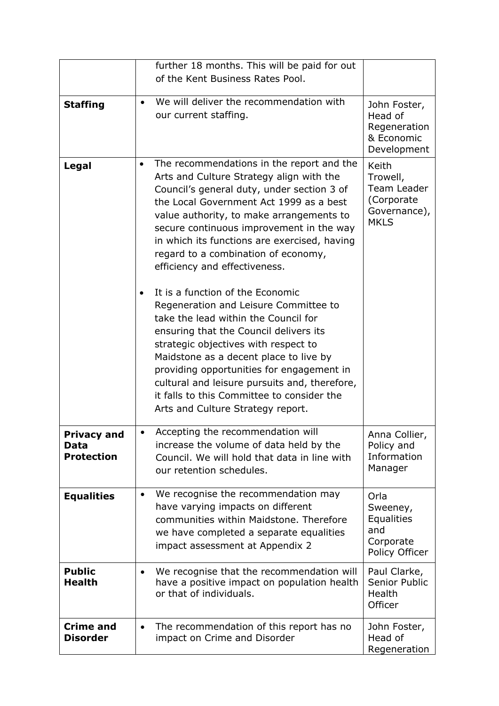|                                                 | further 18 months. This will be paid for out<br>of the Kent Business Rates Pool.                                                                                                                                                                                                                                                                                                                                                            |                                                                                      |
|-------------------------------------------------|---------------------------------------------------------------------------------------------------------------------------------------------------------------------------------------------------------------------------------------------------------------------------------------------------------------------------------------------------------------------------------------------------------------------------------------------|--------------------------------------------------------------------------------------|
| <b>Staffing</b>                                 | We will deliver the recommendation with<br>$\bullet$<br>our current staffing.                                                                                                                                                                                                                                                                                                                                                               | John Foster,<br>Head of<br>Regeneration<br>& Economic                                |
|                                                 |                                                                                                                                                                                                                                                                                                                                                                                                                                             | Development                                                                          |
| Legal                                           | The recommendations in the report and the<br>$\bullet$<br>Arts and Culture Strategy align with the<br>Council's general duty, under section 3 of<br>the Local Government Act 1999 as a best<br>value authority, to make arrangements to<br>secure continuous improvement in the way<br>in which its functions are exercised, having<br>regard to a combination of economy,<br>efficiency and effectiveness.                                 | <b>Keith</b><br>Trowell,<br>Team Leader<br>(Corporate<br>Governance),<br><b>MKLS</b> |
|                                                 | It is a function of the Economic<br>$\bullet$<br>Regeneration and Leisure Committee to<br>take the lead within the Council for<br>ensuring that the Council delivers its<br>strategic objectives with respect to<br>Maidstone as a decent place to live by<br>providing opportunities for engagement in<br>cultural and leisure pursuits and, therefore,<br>it falls to this Committee to consider the<br>Arts and Culture Strategy report. |                                                                                      |
| <b>Privacy and</b><br>Data<br><b>Protection</b> | Accepting the recommendation will<br>increase the volume of data held by the<br>Council. We will hold that data in line with<br>our retention schedules.                                                                                                                                                                                                                                                                                    | Anna Collier,<br>Policy and<br>Information<br>Manager                                |
| <b>Equalities</b>                               | We recognise the recommendation may<br>$\bullet$<br>have varying impacts on different<br>communities within Maidstone. Therefore<br>we have completed a separate equalities<br>impact assessment at Appendix 2                                                                                                                                                                                                                              | Orla<br>Sweeney,<br><b>Equalities</b><br>and<br>Corporate<br>Policy Officer          |
| <b>Public</b><br><b>Health</b>                  | We recognise that the recommendation will<br>$\bullet$<br>have a positive impact on population health<br>or that of individuals.                                                                                                                                                                                                                                                                                                            | Paul Clarke,<br>Senior Public<br>Health<br>Officer                                   |
| <b>Crime and</b><br><b>Disorder</b>             | The recommendation of this report has no<br>$\bullet$<br>impact on Crime and Disorder                                                                                                                                                                                                                                                                                                                                                       | John Foster,<br>Head of<br>Regeneration                                              |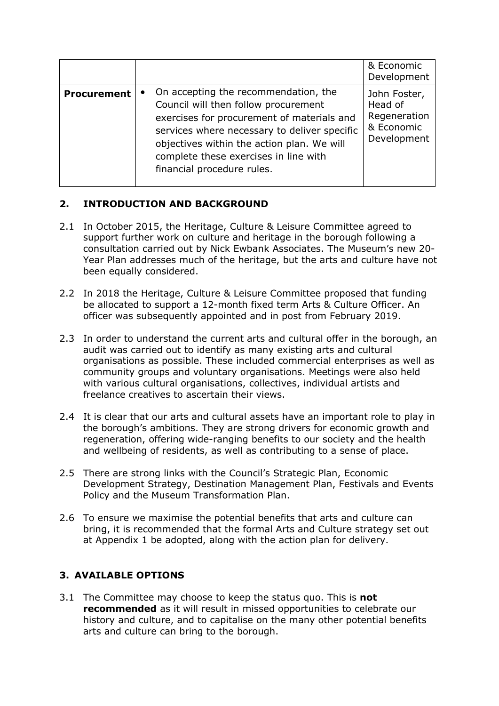|                    |           |                                                                                                                                                                                                                                                                                                 | & Economic<br>Development                                            |
|--------------------|-----------|-------------------------------------------------------------------------------------------------------------------------------------------------------------------------------------------------------------------------------------------------------------------------------------------------|----------------------------------------------------------------------|
| <b>Procurement</b> | $\bullet$ | On accepting the recommendation, the<br>Council will then follow procurement<br>exercises for procurement of materials and<br>services where necessary to deliver specific<br>objectives within the action plan. We will<br>complete these exercises in line with<br>financial procedure rules. | John Foster,<br>Head of<br>Regeneration<br>& Economic<br>Development |

# **2. INTRODUCTION AND BACKGROUND**

- 2.1 In October 2015, the Heritage, Culture & Leisure Committee agreed to support further work on culture and heritage in the borough following a consultation carried out by Nick Ewbank Associates. The Museum's new 20- Year Plan addresses much of the heritage, but the arts and culture have not been equally considered.
- 2.2 In 2018 the Heritage, Culture & Leisure Committee proposed that funding be allocated to support a 12-month fixed term Arts & Culture Officer. An officer was subsequently appointed and in post from February 2019.
- 2.3 In order to understand the current arts and cultural offer in the borough, an audit was carried out to identify as many existing arts and cultural organisations as possible. These included commercial enterprises as well as community groups and voluntary organisations. Meetings were also held with various cultural organisations, collectives, individual artists and freelance creatives to ascertain their views.
- 2.4 It is clear that our arts and cultural assets have an important role to play in the borough's ambitions. They are strong drivers for economic growth and regeneration, offering wide-ranging benefits to our society and the health and wellbeing of residents, as well as contributing to a sense of place.
- 2.5 There are strong links with the Council's Strategic Plan, Economic Development Strategy, Destination Management Plan, Festivals and Events Policy and the Museum Transformation Plan.
- 2.6 To ensure we maximise the potential benefits that arts and culture can bring, it is recommended that the formal Arts and Culture strategy set out at Appendix 1 be adopted, along with the action plan for delivery.

## **3. AVAILABLE OPTIONS**

3.1 The Committee may choose to keep the status quo. This is **not recommended** as it will result in missed opportunities to celebrate our history and culture, and to capitalise on the many other potential benefits arts and culture can bring to the borough.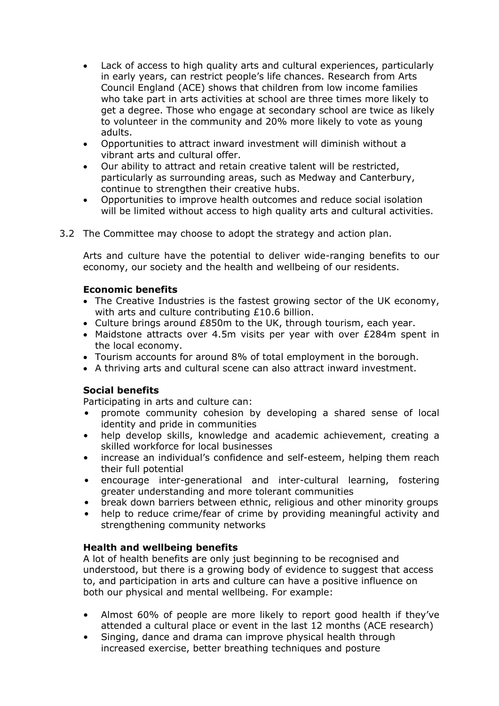- Lack of access to high quality arts and cultural experiences, particularly in early years, can restrict people's life chances. Research from Arts Council England (ACE) shows that children from low income families who take part in arts activities at school are three times more likely to get a degree. Those who engage at secondary school are twice as likely to volunteer in the community and 20% more likely to vote as young adults.
- Opportunities to attract inward investment will diminish without a vibrant arts and cultural offer.
- Our ability to attract and retain creative talent will be restricted, particularly as surrounding areas, such as Medway and Canterbury, continue to strengthen their creative hubs.
- Opportunities to improve health outcomes and reduce social isolation will be limited without access to high quality arts and cultural activities.
- 3.2 The Committee may choose to adopt the strategy and action plan.

Arts and culture have the potential to deliver wide-ranging benefits to our economy, our society and the health and wellbeing of our residents.

#### **Economic benefits**

- The Creative Industries is the fastest growing sector of the UK economy, with arts and culture contributing £10.6 billion.
- Culture brings around £850m to the UK, through tourism, each year.
- Maidstone attracts over 4.5m visits per year with over £284m spent in the local economy.
- Tourism accounts for around 8% of total employment in the borough.
- A thriving arts and cultural scene can also attract inward investment.

#### **Social benefits**

Participating in arts and culture can:

- promote community cohesion by developing a shared sense of local identity and pride in communities
- help develop skills, knowledge and academic achievement, creating a skilled workforce for local businesses
- increase an individual's confidence and self-esteem, helping them reach their full potential
- encourage inter-generational and inter-cultural learning, fostering greater understanding and more tolerant communities
- break down barriers between ethnic, religious and other minority groups
- help to reduce crime/fear of crime by providing meaningful activity and strengthening community networks

#### **Health and wellbeing benefits**

A lot of health benefits are only just beginning to be recognised and understood, but there is a growing body of evidence to suggest that access to, and participation in arts and culture can have a positive influence on both our physical and mental wellbeing. For example:

- Almost 60% of people are more likely to report good health if they've attended a cultural place or event in the last 12 months (ACE research)
- Singing, dance and drama can improve physical health through increased exercise, better breathing techniques and posture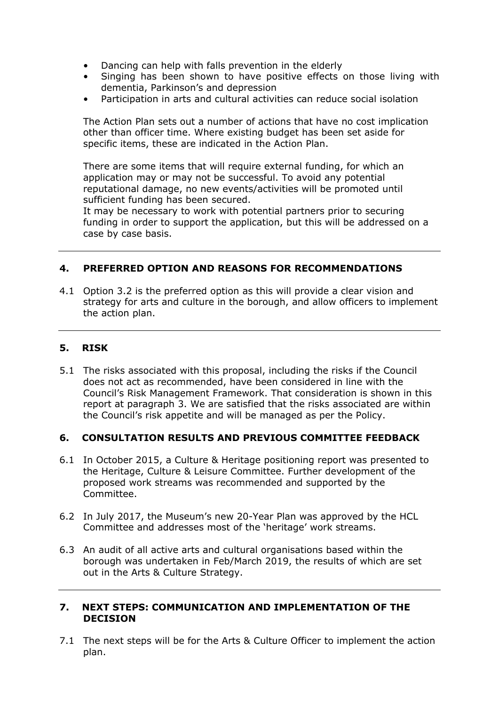- Dancing can help with falls prevention in the elderly
- Singing has been shown to have positive effects on those living with dementia, Parkinson's and depression
- Participation in arts and cultural activities can reduce social isolation

The Action Plan sets out a number of actions that have no cost implication other than officer time. Where existing budget has been set aside for specific items, these are indicated in the Action Plan.

There are some items that will require external funding, for which an application may or may not be successful. To avoid any potential reputational damage, no new events/activities will be promoted until sufficient funding has been secured.

It may be necessary to work with potential partners prior to securing funding in order to support the application, but this will be addressed on a case by case basis.

#### **4. PREFERRED OPTION AND REASONS FOR RECOMMENDATIONS**

4.1 Option 3.2 is the preferred option as this will provide a clear vision and strategy for arts and culture in the borough, and allow officers to implement the action plan.

#### **5. RISK**

5.1 The risks associated with this proposal, including the risks if the Council does not act as recommended, have been considered in line with the Council's Risk Management Framework. That consideration is shown in this report at paragraph 3. We are satisfied that the risks associated are within the Council's risk appetite and will be managed as per the Policy.

#### **6. CONSULTATION RESULTS AND PREVIOUS COMMITTEE FEEDBACK**

- 6.1 In October 2015, a Culture & Heritage positioning report was presented to the Heritage, Culture & Leisure Committee. Further development of the proposed work streams was recommended and supported by the Committee.
- 6.2 In July 2017, the Museum's new 20-Year Plan was approved by the HCL Committee and addresses most of the 'heritage' work streams.
- 6.3 An audit of all active arts and cultural organisations based within the borough was undertaken in Feb/March 2019, the results of which are set out in the Arts & Culture Strategy.

#### **7. NEXT STEPS: COMMUNICATION AND IMPLEMENTATION OF THE DECISION**

7.1 The next steps will be for the Arts & Culture Officer to implement the action plan.